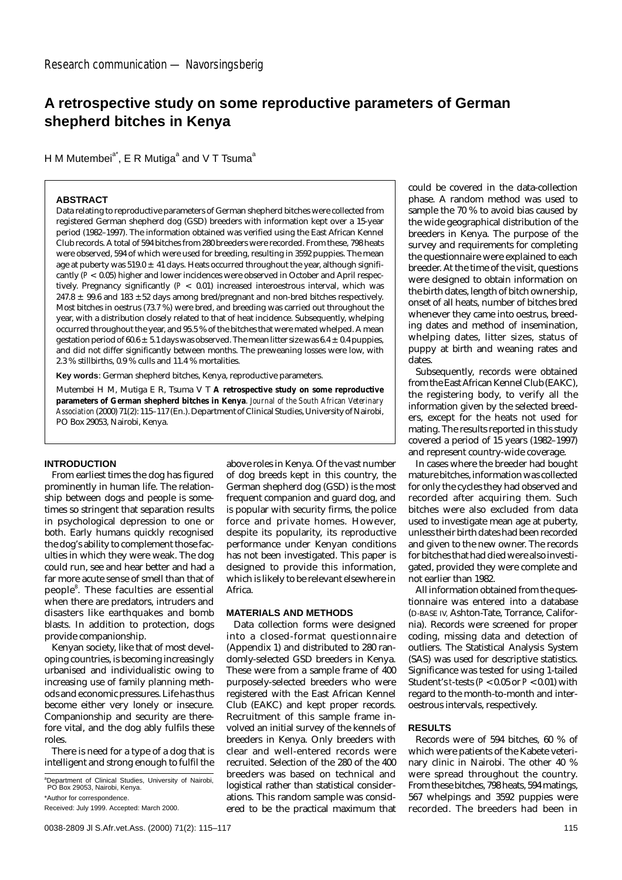# **A retrospective study on some reproductive parameters of German shepherd bitches in Kenya**

H M Mutembei<sup>a\*</sup>, E R Mutiga<sup>a</sup> and V T Tsuma<sup>a</sup>

# **ABSTRACT**

Data relating to reproductive parameters of German shepherd bitches were collected from registered German shepherd dog (GSD) breeders with information kept over a 15-year period (1982–1997). The information obtained was verified using the East African Kennel Club records. A total of 594 bitches from 280 breeders were recorded. From these, 798 heats were observed, 594 of which were used for breeding, resulting in 3592 puppies. The mean age at puberty was  $519.0 \pm 41$  days. Heats occurred throughout the year, although significantly (*P* < 0.05) higher and lower incidences were observed in October and April respectively. Pregnancy significantly (*P* < 0.01) increased interoestrous interval, which was  $247.8 \pm 99.6$  and 183  $\pm 52$  days among bred/pregnant and non-bred bitches respectively. Most bitches in oestrus (73.7 %) were bred, and breeding was carried out throughout the year, with a distribution closely related to that of heat incidence. Subsequently, whelping occurred throughout the year, and 95.5 % of the bitches that were mated whelped. A mean gestation period of 60.6  $\pm$  5.1 days was observed. The mean litter size was 6.4  $\pm$  0.4 puppies, and did not differ significantly between months. The preweaning losses were low, with 2.3 % stillbirths, 0.9 % culls and 11.4 % mortalities.

**Key words**: German shepherd bitches, Kenya, reproductive parameters.

Mutembei H M, Mutiga E R, Tsuma V T **A retrospective study on some reproductive parameters of German shepherd bitches in Kenya**. *Journal of the South African Veterinary Association* (2000) 71(2): 115–117 (En.). Department of Clinical Studies, University of Nairobi, PO Box 29053, Nairobi, Kenya.

## **INTRODUCTION**

From earliest times the dog has figured prominently in human life. The relationship between dogs and people is sometimes so stringent that separation results in psychological depression to one or both. Early humans quickly recognised the dog's ability to complement those faculties in which they were weak. The dog could run, see and hear better and had a far more acute sense of smell than that of people $^{\rm 8}$ . These faculties are essential when there are predators, intruders and disasters like earthquakes and bomb blasts. In addition to protection, dogs provide companionship.

Kenyan society, like that of most developing countries, is becoming increasingly urbanised and individualistic owing to increasing use of family planning methods and economic pressures. Life has thus become either very lonely or insecure. Companionship and security are therefore vital, and the dog ably fulfils these roles.

There is need for a type of a dog that is intelligent and strong enough to fulfil the

<sup>a</sup>Department of Clinical Studies, University of Nairobi, PO Box 29053, Nairobi, Kenya.

\*Author for correspondence.

above roles in Kenya. Of the vast number of dog breeds kept in this country, the German shepherd dog (GSD) is the most frequent companion and guard dog, and is popular with security firms, the police force and private homes. However, despite its popularity, its reproductive performance under Kenyan conditions has not been investigated. This paper is designed to provide this information, which is likely to be relevant elsewhere in Africa.

#### **MATERIALS AND METHODS**

Data collection forms were designed into a closed-format questionnaire (Appendix 1) and distributed to 280 randomly-selected GSD breeders in Kenya. These were from a sample frame of 400 purposely-selected breeders who were registered with the East African Kennel Club (EAKC) and kept proper records. Recruitment of this sample frame involved an initial survey of the kennels of breeders in Kenya. Only breeders with clear and well-entered records were recruited. Selection of the 280 of the 400 breeders was based on technical and logistical rather than statistical considerations. This random sample was considered to be the practical maximum that could be covered in the data-collection phase. A random method was used to sample the 70 % to avoid bias caused by the wide geographical distribution of the breeders in Kenya. The purpose of the survey and requirements for completing the questionnaire were explained to each breeder. At the time of the visit, questions were designed to obtain information on the birth dates, length of bitch ownership, onset of all heats, number of bitches bred whenever they came into oestrus, breeding dates and method of insemination, whelping dates, litter sizes, status of puppy at birth and weaning rates and dates.

Subsequently, records were obtained from the East African Kennel Club (EAKC), the registering body, to verify all the information given by the selected breeders, except for the heats not used for mating. The results reported in this study covered a period of 15 years (1982–1997) and represent country-wide coverage.

In cases where the breeder had bought mature bitches, information was collected for only the cycles they had observed and recorded after acquiring them. Such bitches were also excluded from data used to investigate mean age at puberty, unless their birth dates had been recorded and given to the new owner. The records for bitches that had died were also investigated, provided they were complete and not earlier than 1982.

All information obtained from the questionnaire was entered into a database (D-BASE IV, Ashton-Tate, Torrance, California). Records were screened for proper coding, missing data and detection of outliers. The Statistical Analysis System (SAS) was used for descriptive statistics. Significance was tested for using 1-tailed Student's *t*-tests (*P* <0.05 or *P* <0.01) with regard to the month-to-month and interoestrous intervals, respectively.

# **RESULTS**

Records were of 594 bitches, 60 % of which were patients of the Kabete veterinary clinic in Nairobi. The other 40 % were spread throughout the country. From these bitches, 798 heats, 594 matings, 567 whelpings and 3592 puppies were recorded. The breeders had been in

Received: July 1999. Accepted: March 2000.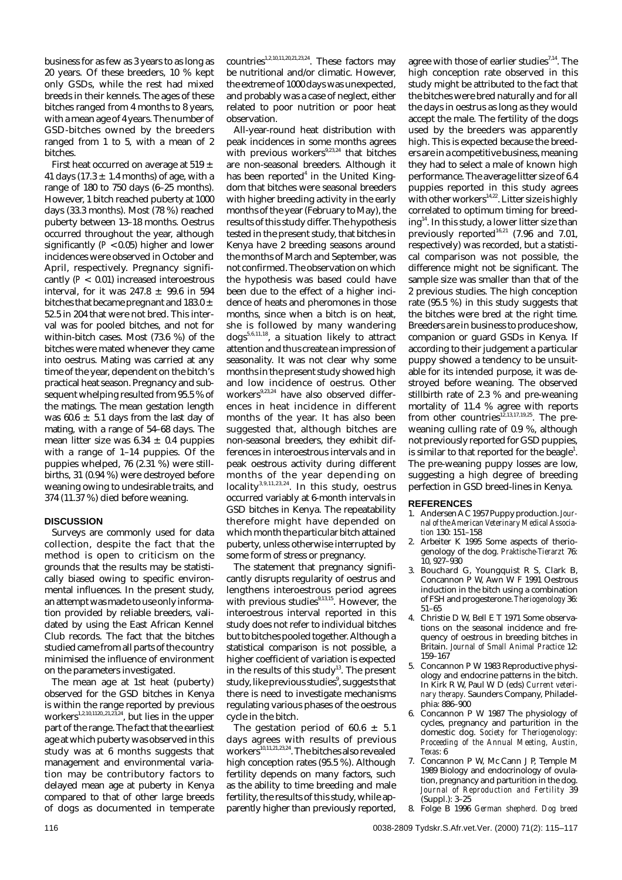business for as few as 3 years to as long as 20 years. Of these breeders, 10 % kept only GSDs, while the rest had mixed breeds in their kennels. The ages of these bitches ranged from 4 months to 8 years, with a mean age of 4 years. The number of GSD-bitches owned by the breeders ranged from 1 to 5, with a mean of 2 bitches.

First heat occurred on average at 519  $\pm$ 41 days (17.3  $\pm$  1.4 months) of age, with a range of 180 to 750 days (6–25 months). However, 1 bitch reached puberty at 1000 days (33.3 months). Most (78 %) reached puberty between 13–18 months. Oestrus occurred throughout the year, although significantly (*P* <0.05) higher and lower incidences were observed in October and April, respectively. Pregnancy significantly (*P* < 0.01) increased interoestrous interval, for it was 247.8  $\pm$  99.6 in 594 bitches that became pregnant and 183.0  $\pm$ 52.5 in 204 that were not bred. This interval was for pooled bitches, and not for within-bitch cases. Most (73.6 %) of the bitches were mated whenever they came into oestrus. Mating was carried at any time of the year, dependent on the bitch's practical heat season. Pregnancy and subsequent whelping resulted from 95.5 % of the matings. The mean gestation length was 60.6  $\pm$  5.1 days from the last day of mating, with a range of 54–68 days. The mean litter size was  $6.34 \pm 0.4$  puppies with a range of 1–14 puppies. Of the puppies whelped, 76 (2.31 %) were stillbirths, 31 (0.94 %) were destroyed before weaning owing to undesirable traits, and 374 (11.37 %) died before weaning.

## **DISCUSSION**

Surveys are commonly used for data collection, despite the fact that the method is open to criticism on the grounds that the results may be statistically biased owing to specific environmental influences. In the present study, an attempt was made to use only information provided by reliable breeders, validated by using the East African Kennel Club records. The fact that the bitches studied came from all parts of the country minimised the influence of environment on the parameters investigated.

The mean age at 1st heat (puberty) observed for the GSD bitches in Kenya is within the range reported by previous workers<sup>1,2,10,1120,,21,23,24</sup>, but lies in the upper part of the range. The fact that the earliest age at which puberty was observed in this study was at 6 months suggests that management and environmental variation may be contributory factors to delayed mean age at puberty in Kenya compared to that of other large breeds of dogs as documented in temperate

countries<sup>1,2,10,11,20,21,23,24</sup>. These factors may be nutritional and/or climatic. However, the extreme of 1000 days was unexpected, and probably was a case of neglect, either related to poor nutrition or poor heat observation.

All-year-round heat distribution with peak incidences in some months agrees with previous workers $9,23,24$  that bitches are non-seasonal breeders. Although it has been reported $4$  in the United Kingdom that bitches were seasonal breeders with higher breeding activity in the early months of the year (February to May), the results of this study differ. The hypothesis tested in the present study, that bitches in Kenya have 2 breeding seasons around the months of March and September, was not confirmed. The observation on which the hypothesis was based could have been due to the effect of a higher incidence of heats and pheromones in those months, since when a bitch is on heat, she is followed by many wandering dogs5,6,11,18, a situation likely to attract attention and thus create an impression of seasonality. It was not clear why some months in the present study showed high and low incidence of oestrus. Other workers<sup>9,23,24</sup> have also observed differences in heat incidence in different months of the year. It has also been suggested that, although bitches are non-seasonal breeders, they exhibit differences in interoestrous intervals and in peak oestrous activity during different months of the year depending on locality3,9,11,23,24. In this study, oestrus occurred variably at 6-month intervals in GSD bitches in Kenya. The repeatability therefore might have depended on which month the particular bitch attained puberty, unless otherwise interrupted by some form of stress or pregnancy.

The statement that pregnancy significantly disrupts regularity of oestrus and lengthens interoestrous period agrees with previous studies $9,13,15$ . However, the interoestrous interval reported in this study does not refer to individual bitches but to bitches pooled together. Although a statistical comparison is not possible, a higher coefficient of variation is expected in the results of this study<sup>13</sup>. The present study, like previous studies $^{\circ}$ , suggests that there is need to investigate mechanisms regulating various phases of the oestrous cycle in the bitch.

The gestation period of 60.6  $\pm$  5.1 days agrees with results of previous workers<sup>10,11,21,23,24</sup>. The bitches also revealed high conception rates (95.5 %). Although fertility depends on many factors, such as the ability to time breeding and male fertility, the results of this study, while apparently higher than previously reported,

agree with those of earlier studies $7,14$ . The high conception rate observed in this study might be attributed to the fact that the bitches were bred naturally and for all the days in oestrus as long as they would accept the male. The fertility of the dogs used by the breeders was apparently high. This is expected because the breeders are in a competitive business, meaning they had to select a male of known high performance. The average litter size of 6.4 puppies reported in this study agrees with other workers<sup>14,22</sup>. Litter size is highly correlated to optimum timing for breeding<sup>14</sup>. In this study, a lower litter size than previously reported $16,21$  (7.96 and 7.01, respectively) was recorded, but a statistical comparison was not possible, the difference might not be significant. The sample size was smaller than that of the 2 previous studies. The high conception rate (95.5 %) in this study suggests that the bitches were bred at the right time. Breeders are in business to produce show, companion or guard GSDs in Kenya. If according to their judgement a particular puppy showed a tendency to be unsuitable for its intended purpose, it was destroyed before weaning. The observed stillbirth rate of 2.3 % and pre-weaning mortality of 11.4 % agree with reports from other countries $^{12,13,17,19,25}$ . The preweaning culling rate of 0.9 %, although not previously reported for GSD puppies, is similar to that reported for the beagle $^1$ . The pre-weaning puppy losses are low, suggesting a high degree of breeding perfection in GSD breed-lines in Kenya.

## **REFERENCES**

- 1. Andersen A C 1957 Puppy production.*Journal of the American Veterinary Medical Association* 130: 151–158
- 2. Arbeiter K 1995 Some aspects of theriogenology of the dog. *Praktische-Tierarzt* 76: 10, 927–930
- 3. Bouchard G, Youngquist R S, Clark B, Concannon P W, Awn W F 1991 Oestrous induction in the bitch using a combination of FSH and progesterone. *Theriogenology* 36: 51–65
- 4. Christie D W, Bell E T 1971 Some observations on the seasonal incidence and frequency of oestrous in breeding bitches in Britain. *Journal of Small Animal Practice* 12: 159–167
- 5. Concannon P W 1983 Reproductive physiology and endocrine patterns in the bitch. In Kirk R W, Paul W D (eds) *Current veterinary therapy.* Saunders Company, Philadelphia: 886–900
- 6. Concannon P W 1987 The physiology of cycles, pregnancy and parturition in the domestic dog. *Society for Theriogenology: Proceeding of the Annual Meeting, Austin, Texas*: 6
- 7. Concannon P W, Mc Cann J P, Temple M 1989 Biology and endocrinology of ovulation, pregnancy and parturition in the dog. *Journal of Reproduction and Fertility* 39 (Suppl.): 3–25
- 8. Folge B 1996 *German shepherd. Dog breed*